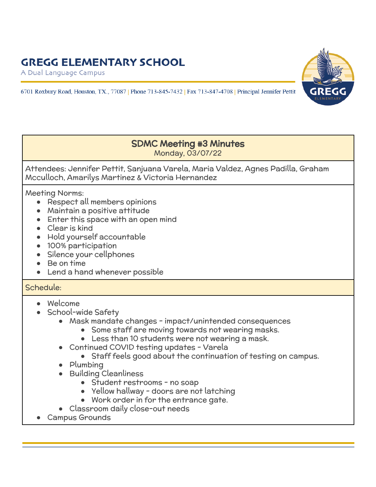## **GREGG ELEMENTARY SCHOOL**

A Dual Language Campus





## SDMC Meeting #3 Minutes Monday, 03/07/22

Attendees: Jennifer Pettit, Sanjuana Varela, Maria Valdez, Agnes Padilla, Graham Mcculloch, Amarilys Martinez & Victoria Hernandez

Meeting Norms:

- Respect all members opinions
- Maintain a positive attitude
- Enter this space with an open mind
- Clear is kind
- Hold yourself accountable
- 100% participation
- Silence your cellphones
- Be on time
- Lend a hand whenever possible

## Schedule:

- Welcome
- School-wide Safety
	- Mask mandate changes impact/unintended consequences
		- Some staff are moving towards not wearing masks.
		- Less than 10 students were not wearing a mask.
	- Continued COVID testing updates Varela
		- Staff feels good about the continuation of testing on campus.
	- Plumbing
	- **Building Cleanliness** 
		- Student restrooms no soap
		- Yellow hallway doors are not latching
		- Work order in for the entrance gate.
	- Classroom daily close-out needs
- Campus Grounds